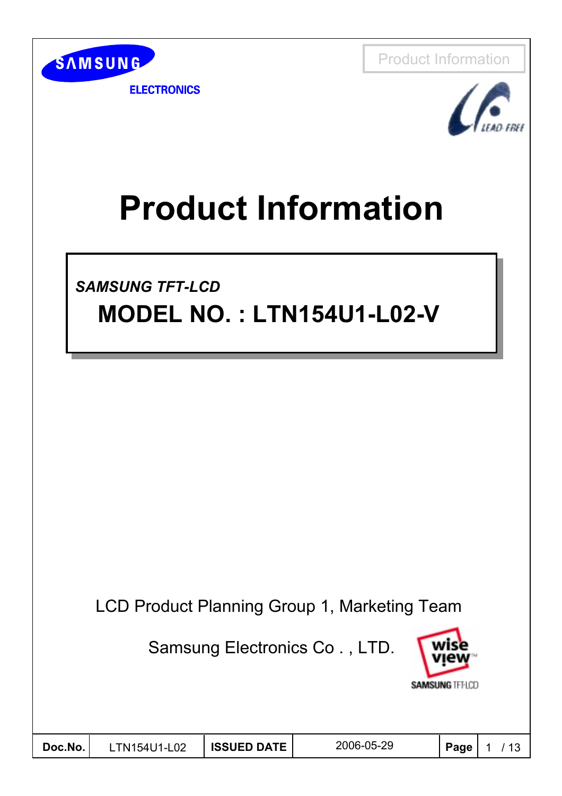

**ELECTRONICS** 





# **Product Information**

*SAMSUNG TFT-LCD SAMSUNG TFT-LCD* **MODEL NO. : LTN154U1-L02-V MODEL NO. : LTN154U1-L02-V**

LCD Product Planning Group 1, Marketing Team

Samsung Electronics Co . , LTD.



| Doc.No. | LTN154U1-L02 | <b>ISSUED DATE</b> | 2006-05-29 | Page |  |
|---------|--------------|--------------------|------------|------|--|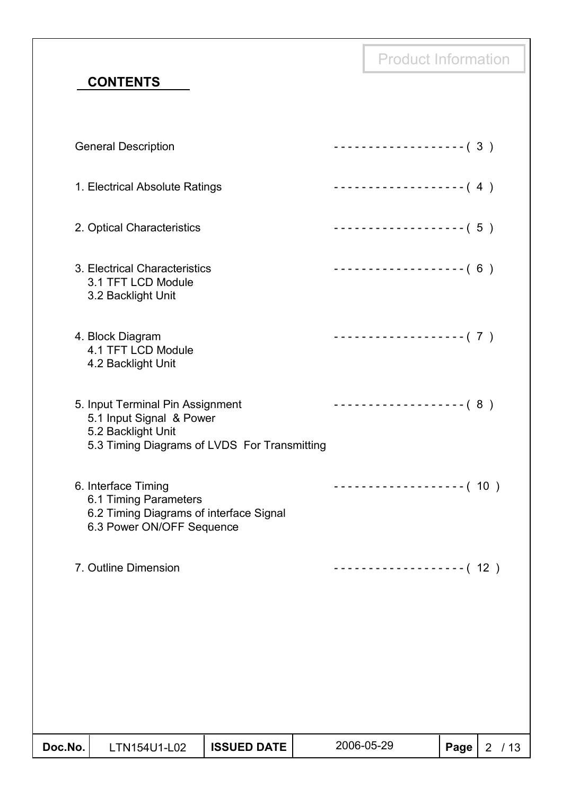**CONTENTS**

| Doc.No. | LTN154U1-L02                                                                                                                       | <b>ISSUED DATE</b> | 2006-05-29                         | Page | 2 / 13 |
|---------|------------------------------------------------------------------------------------------------------------------------------------|--------------------|------------------------------------|------|--------|
|         |                                                                                                                                    |                    |                                    |      |        |
|         |                                                                                                                                    |                    |                                    |      |        |
|         | 6.3 Power ON/OFF Sequence<br>7. Outline Dimension                                                                                  |                    | . - - - - - - - - - - - - - - (12) |      |        |
|         | 6. Interface Timing<br>6.1 Timing Parameters<br>6.2 Timing Diagrams of interface Signal                                            |                    | -------------------- (10)          |      |        |
|         | 5. Input Terminal Pin Assignment<br>5.1 Input Signal & Power<br>5.2 Backlight Unit<br>5.3 Timing Diagrams of LVDS For Transmitting |                    | ------------------- (8)            |      |        |
|         | 4. Block Diagram<br>4.1 TFT LCD Module<br>4.2 Backlight Unit                                                                       |                    | -------------------- (7)           |      |        |
|         | 3. Electrical Characteristics<br>3.1 TFT LCD Module<br>3.2 Backlight Unit                                                          |                    | $------------(6)$                  |      |        |
|         | 2. Optical Characteristics                                                                                                         |                    | $------------(-5)$                 |      |        |
|         | 1. Electrical Absolute Ratings                                                                                                     |                    | -------------------- (4)           |      |        |
|         | <b>General Description</b>                                                                                                         |                    | -------------------- (3)           |      |        |

Product Information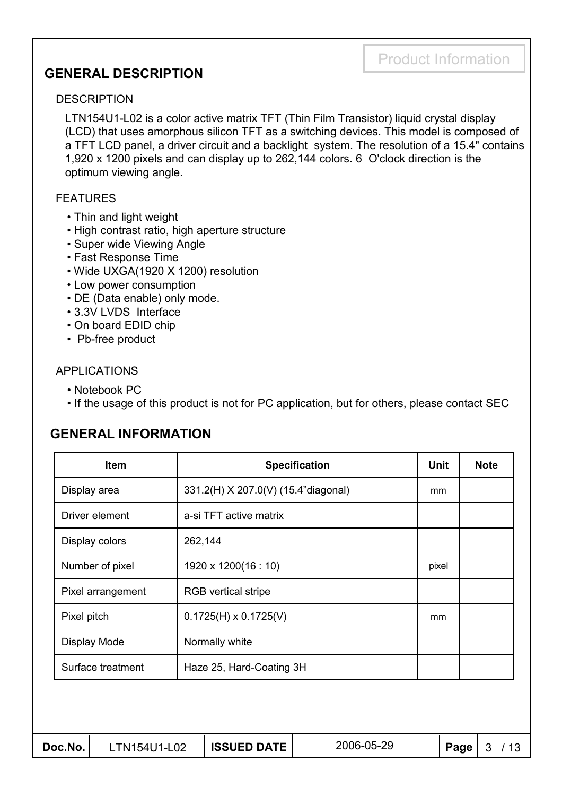### **GENERAL DESCRIPTION**

### **DESCRIPTION**

LTN154U1-L02 is a color active matrix TFT (Thin Film Transistor) liquid crystal display (LCD) that uses amorphous silicon TFT as a switching devices. This model is composed of a TFT LCD panel, a driver circuit and a backlight system. The resolution of a 15.4" contains 1,920 x 1200 pixels and can display up to 262,144 colors. 6 O'clock direction is the optimum viewing angle.

### FEATURES

- Thin and light weight
- High contrast ratio, high aperture structure
- Super wide Viewing Angle
- Fast Response Time
- Wide UXGA(1920 X 1200) resolution
- Low power consumption
- DE (Data enable) only mode.
- 3.3V LVDS Interface
- On board EDID chip
- Pb-free product

### APPLICATIONS

- Notebook PC
- If the usage of this product is not for PC application, but for others, please contact SEC

### **GENERAL INFORMATION**

| <b>Specification</b>                | <b>Unit</b> | <b>Note</b> |
|-------------------------------------|-------------|-------------|
| 331.2(H) X 207.0(V) (15.4"diagonal) | mm          |             |
| a-si TFT active matrix              |             |             |
| 262,144                             |             |             |
| 1920 x 1200(16 : 10)                | pixel       |             |
| RGB vertical stripe                 |             |             |
| $0.1725(H) \times 0.1725(V)$        | mm          |             |
| Normally white                      |             |             |
| Haze 25, Hard-Coating 3H            |             |             |
|                                     |             |             |

**Doc.No.** LTN154U1-L02 | **ISSUED DATE** | 2006-05-29 | **Page** | 3 / 13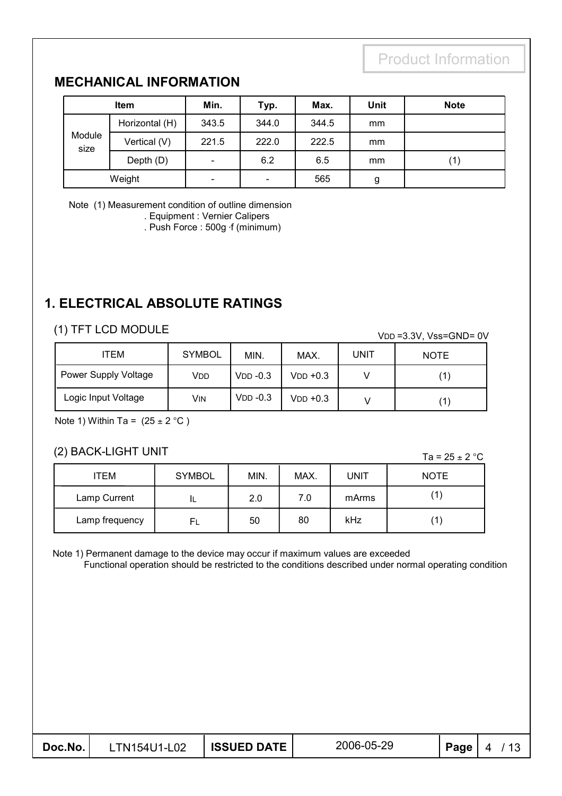### **MECHANICAL INFORMATION**

| <b>Item</b>    |                | Min.                         | Typ.                     | Max.  | <b>Unit</b> | <b>Note</b> |
|----------------|----------------|------------------------------|--------------------------|-------|-------------|-------------|
|                | Horizontal (H) | 343.5                        | 344.0                    | 344.5 | mm          |             |
| Module<br>size | Vertical (V)   | 221.5                        | 222.0                    | 222.5 | mm          |             |
|                | Depth (D)      | $\qquad \qquad \blacksquare$ | 6.2                      | 6.5   | mm          | (1)         |
| Weight         |                | $\overline{\phantom{a}}$     | $\overline{\phantom{a}}$ | 565   | g           |             |

Note (1) Measurement condition of outline dimension

. Equipment : Vernier Calipers

. Push Force : 500g ⋅f (minimum)

### **1. ELECTRICAL ABSOLUTE RATINGS**

### (1) TFT LCD MODULE

VDD =3.3V, Vss=GND= 0V

| ITEM                 | <b>SYMBOL</b> | MIN.       | MAX.          | UNIT | <b>NOTE</b> |
|----------------------|---------------|------------|---------------|------|-------------|
| Power Supply Voltage | VDD           | $VDD -0.3$ | $V$ DD $+0.3$ |      |             |
| Logic Input Voltage  | VIN           | $VDD -0.3$ | $VDD +0.3$    |      |             |

Note 1) Within Ta =  $(25 \pm 2 \degree C)$ 

### (2) BACK-LIGHT UNIT

ITEM SYMBOL MIN. MAX. UNIT NOTE  $|L|$  2.0 7.0 mArms 2.0 (1) (1) Ta =  $25 \pm 2$  °C Lamp Current Lamp frequency  $F_L$   $\begin{array}{|c|c|c|c|c|} \hline \end{array}$  50  $\begin{array}{|c|c|c|c|} \hline \end{array}$  RHz

Note 1) Permanent damage to the device may occur if maximum values are exceeded

Functional operation should be restricted to the conditions described under normal operating condition

| Doc.No. | .TN154U1-L02 | <b>ISSUED DATE</b> | 2006-05-29 | Page |  |
|---------|--------------|--------------------|------------|------|--|
|---------|--------------|--------------------|------------|------|--|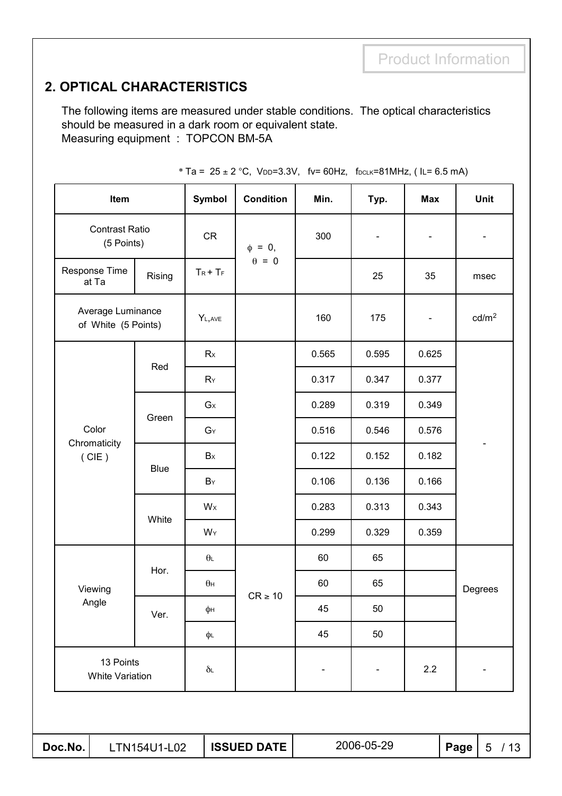### **2. OPTICAL CHARACTERISTICS**

The following items are measured under stable conditions. The optical characteristics should be measured in a dark room or equivalent state. Measuring equipment : TOPCON BM-5A

| Item                                     |              | Symbol           | <b>Condition</b>   | Min.  | Typ.       | <b>Max</b>                   |      | <b>Unit</b>            |
|------------------------------------------|--------------|------------------|--------------------|-------|------------|------------------------------|------|------------------------|
| <b>Contrast Ratio</b><br>(5 Points)      |              | CR               | $\phi = 0$ ,       | 300   |            | $\overline{\phantom{0}}$     |      |                        |
| Response Time<br>at Ta                   | Rising       | $Tr + Tr$        | $\theta = 0$       |       | 25         | 35                           |      | msec                   |
| Average Luminance<br>of White (5 Points) |              | YL, AVE          |                    | 160   | 175        | $\qquad \qquad \blacksquare$ |      | cd/m <sup>2</sup>      |
|                                          |              | Rx               |                    | 0.565 | 0.595      | 0.625                        |      |                        |
|                                          | Red          | RY               |                    | 0.317 | 0.347      | 0.377                        |      |                        |
|                                          | Green        | G <sub>x</sub>   |                    | 0.289 | 0.319      | 0.349                        |      |                        |
| Color                                    |              | $G_Y$            |                    | 0.516 | 0.546      | 0.576                        |      |                        |
| Chromaticity<br>(CIE)                    | <b>Blue</b>  | Bx               |                    | 0.122 | 0.152      | 0.182                        |      |                        |
|                                          |              | $B_Y$            |                    | 0.106 | 0.136      | 0.166                        |      |                        |
|                                          |              | Wx               |                    | 0.283 | 0.313      | 0.343                        |      |                        |
|                                          | White        | $W_Y$            |                    | 0.299 | 0.329      | 0.359                        |      |                        |
|                                          |              | $\theta$         |                    | 60    | 65         |                              |      |                        |
| Viewing                                  | Hor.         | $\theta$ н       |                    | 60    | 65         |                              |      | Degrees                |
| Angle                                    | Ver.         | φн               | $CR \ge 10$        | 45    | 50         |                              |      |                        |
|                                          |              | φL               |                    | 45    | 50         |                              |      |                        |
| 13 Points<br><b>White Variation</b>      |              | $\delta\text{L}$ |                    |       |            | 2.2                          |      | -                      |
|                                          |              |                  |                    |       |            |                              |      |                        |
| Doc.No.                                  | LTN154U1-L02 |                  | <b>ISSUED DATE</b> |       | 2006-05-29 |                              | Page | $5\phantom{.0}$<br>/13 |

\* Ta =  $25 \pm 2$  °C, VDD=3.3V, fv= 60Hz, fDCLK=81MHz, (IL= 6.5 mA)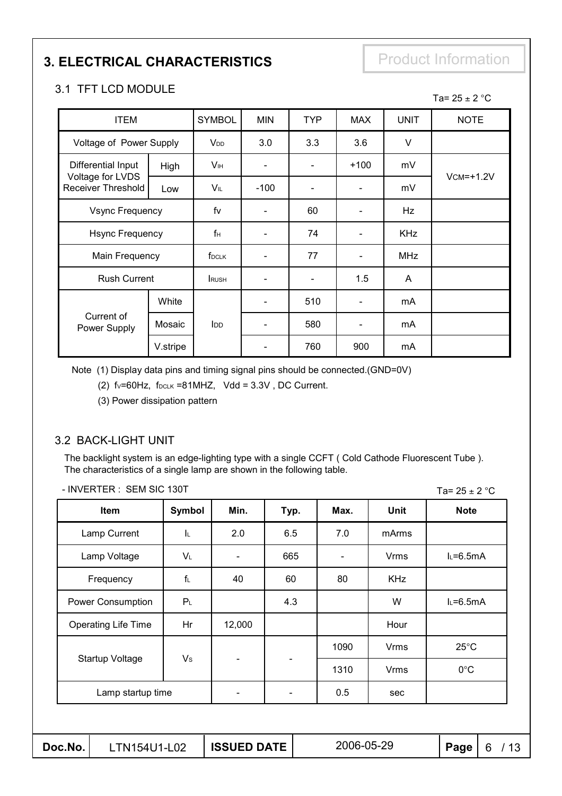# **3. ELECTRICAL CHARACTERISTICS** Product Information

### 3.1 TFT LCD MODULE

| <b>ITEM</b>                                   |          | <b>SYMBOL</b>     | <b>MIN</b>                   | <b>TYP</b> | <b>MAX</b> | <b>UNIT</b> | <b>NOTE</b>   |
|-----------------------------------------------|----------|-------------------|------------------------------|------------|------------|-------------|---------------|
| Voltage of Power Supply                       |          | V <sub>DD</sub>   | 3.0                          | 3.3        | 3.6        | V           |               |
| Differential Input                            | High     | V <sub>IH</sub>   | $\qquad \qquad \blacksquare$ |            | $+100$     | mV          |               |
| Voltage for LVDS<br><b>Receiver Threshold</b> | Low      | VIL               | $-100$                       |            |            | mV          | $VCM = +1.2V$ |
| <b>Vsync Frequency</b>                        |          | fv                |                              | 60         |            | Hz          |               |
| <b>Hsync Frequency</b>                        |          | f <sub>H</sub>    |                              | 74         |            | <b>KHz</b>  |               |
| Main Frequency                                |          | f <sub>DCLK</sub> | $\qquad \qquad \blacksquare$ | 77         |            | <b>MHz</b>  |               |
| <b>Rush Current</b>                           |          | <b>RUSH</b>       |                              |            | 1.5        | A           |               |
|                                               | White    |                   |                              | 510        |            | mA          |               |
| Current of<br>Power Supply                    | Mosaic   | <b>I</b> DD       |                              | 580        |            | mA          |               |
|                                               | V.stripe |                   |                              | 760        | 900        | mA          |               |

Note (1) Display data pins and timing signal pins should be connected.(GND=0V)

(2)  $f_v=60Hz$ ,  $f_{DCLK} = 81MHz$ ,  $Vdd = 3.3V$ , DC Current.

(3) Power dissipation pattern

### 3.2 BACK-LIGHT UNIT

- INVERTER : SEM SIC 130T

The backlight system is an edge-lighting type with a single CCFT ( Cold Cathode Fluorescent Tube ). The characteristics of a single lamp are shown in the following table.

| - INVERTER : SEM SIC 130T  | Ta= $25 \pm 2$ °C |                          |      |      |             |                |
|----------------------------|-------------------|--------------------------|------|------|-------------|----------------|
| Item                       | Symbol            | Min.                     | Typ. | Max. | <b>Unit</b> | <b>Note</b>    |
| Lamp Current               | IL.               | 2.0                      | 6.5  | 7.0  | mArms       |                |
| Lamp Voltage               | VL.               | $\overline{\phantom{a}}$ | 665  |      | <b>Vrms</b> | $L=6.5mA$      |
| Frequency                  | f                 | 40                       | 60   | 80   | <b>KHz</b>  |                |
| <b>Power Consumption</b>   | $P_L$             |                          | 4.3  |      | W           | $L=6.5mA$      |
| <b>Operating Life Time</b> | Hr                | 12,000                   |      |      | Hour        |                |
|                            |                   |                          |      | 1090 | <b>Vrms</b> | $25^{\circ}$ C |
| Startup Voltage            | V <sub>s</sub>    | $\overline{\phantom{a}}$ |      | 1310 | <b>Vrms</b> | $0^{\circ}$ C  |
| Lamp startup time          |                   | -                        |      | 0.5  | sec         |                |
|                            |                   |                          |      |      |             |                |

### Ta=  $25 \pm 2$  °C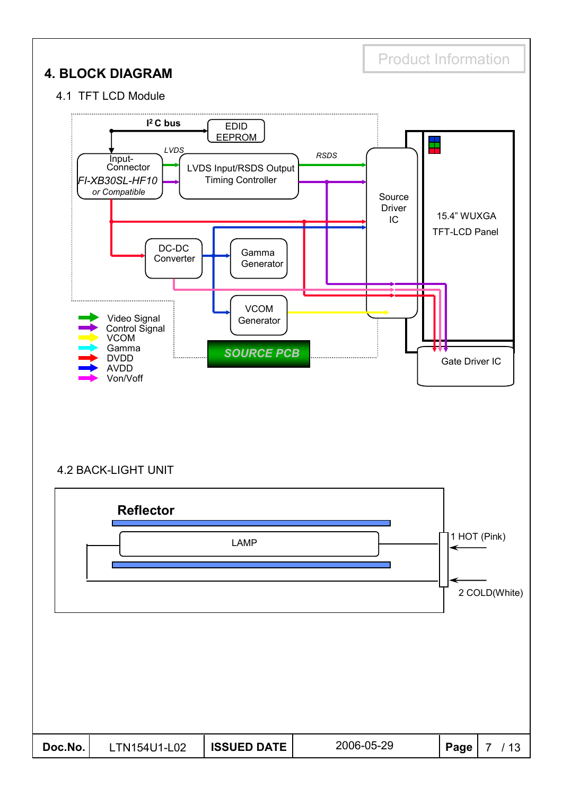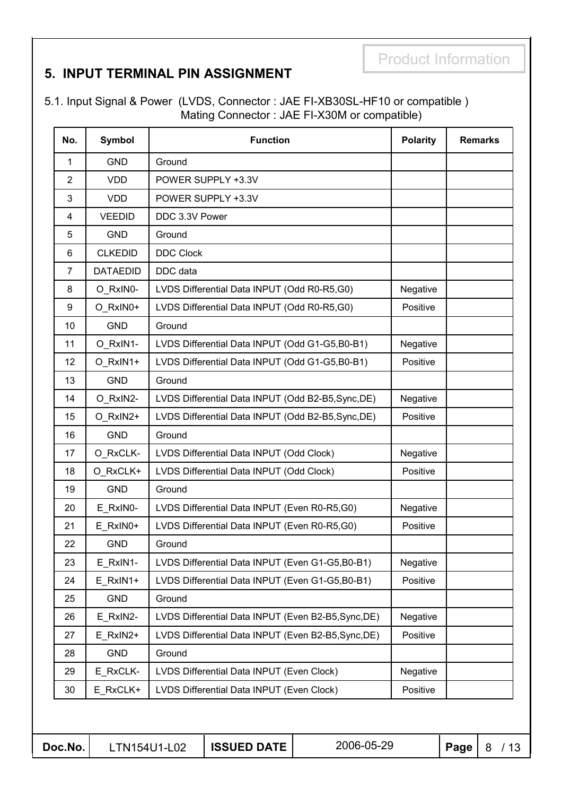### **5. INPUT TERMINAL PIN ASSIGNMENT**

5.1. Input Signal & Power (LVDS, Connector : JAE FI-XB30SL-HF10 or compatible ) Mating Connector : JAE FI-X30M or compatible)

| No.            | <b>Symbol</b>   | <b>Function</b>                                     | <b>Polarity</b> | <b>Remarks</b> |
|----------------|-----------------|-----------------------------------------------------|-----------------|----------------|
| 1              | <b>GND</b>      | Ground                                              |                 |                |
| 2              | <b>VDD</b>      | POWER SUPPLY +3.3V                                  |                 |                |
| 3              | <b>VDD</b>      | POWER SUPPLY +3.3V                                  |                 |                |
| $\overline{4}$ | <b>VEEDID</b>   | DDC 3.3V Power                                      |                 |                |
| 5              | <b>GND</b>      | Ground                                              |                 |                |
| 6              | <b>CLKEDID</b>  | <b>DDC Clock</b>                                    |                 |                |
| $\overline{7}$ | <b>DATAEDID</b> | DDC data                                            |                 |                |
| 8              | O_RxIN0-        | LVDS Differential Data INPUT (Odd R0-R5,G0)         | Negative        |                |
| 9              | O RxIN0+        | LVDS Differential Data INPUT (Odd R0-R5,G0)         | Positive        |                |
| 10             | <b>GND</b>      | Ground                                              |                 |                |
| 11             | O_RxIN1-        | LVDS Differential Data INPUT (Odd G1-G5,B0-B1)      | Negative        |                |
| 12             | O RxIN1+        | LVDS Differential Data INPUT (Odd G1-G5,B0-B1)      | Positive        |                |
| 13             | <b>GND</b>      | Ground                                              |                 |                |
| 14             | O_RxIN2-        | LVDS Differential Data INPUT (Odd B2-B5, Sync, DE)  | Negative        |                |
| 15             | O RxIN2+        | LVDS Differential Data INPUT (Odd B2-B5, Sync, DE)  | Positive        |                |
| 16             | <b>GND</b>      | Ground                                              |                 |                |
| 17             | O_RxCLK-        | LVDS Differential Data INPUT (Odd Clock)            | Negative        |                |
| 18             | O RxCLK+        | LVDS Differential Data INPUT (Odd Clock)            | Positive        |                |
| 19             | <b>GND</b>      | Ground                                              |                 |                |
| 20             | E_RxIN0-        | LVDS Differential Data INPUT (Even R0-R5,G0)        | Negative        |                |
| 21             | E RxIN0+        | LVDS Differential Data INPUT (Even R0-R5,G0)        | Positive        |                |
| 22             | <b>GND</b>      | Ground                                              |                 |                |
| 23             | E RxIN1-        | LVDS Differential Data INPUT (Even G1-G5,B0-B1)     | Negative        |                |
| 24             | E RxIN1+        | LVDS Differential Data INPUT (Even G1-G5,B0-B1)     | Positive        |                |
| 25             | <b>GND</b>      | Ground                                              |                 |                |
| 26             | E_RxIN2-        | LVDS Differential Data INPUT (Even B2-B5, Sync, DE) | Negative        |                |
| 27             | E_RxIN2+        | LVDS Differential Data INPUT (Even B2-B5, Sync, DE) | Positive        |                |
| 28             | <b>GND</b>      | Ground                                              |                 |                |
| 29             | E_RxCLK-        | LVDS Differential Data INPUT (Even Clock)           | Negative        |                |
| 30             | E_RxCLK+        | LVDS Differential Data INPUT (Even Clock)           | Positive        |                |
|                |                 |                                                     |                 |                |

**Doc.No.** LTN154U1-L02 | **ISSUED DATE** | 2006-05-29 | **Page** | 8 / 13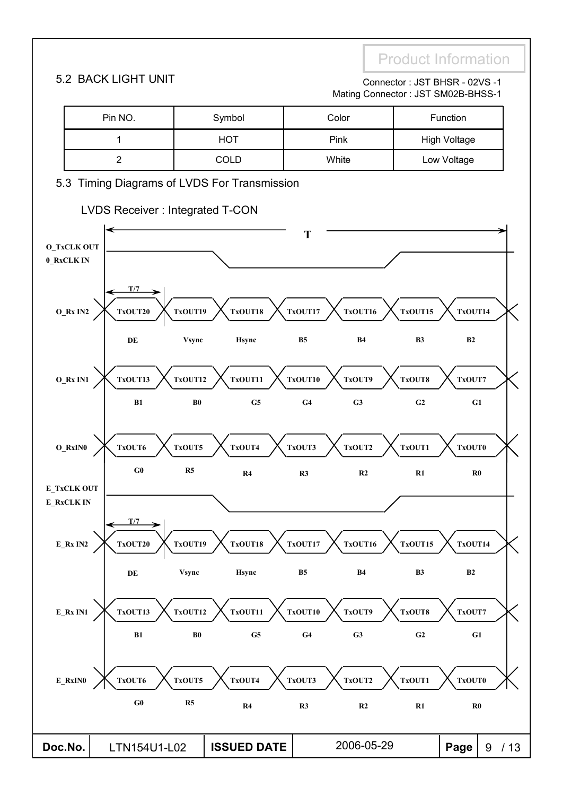### 5.2 BACK LIGHT UNIT Connector : JST BHSR - 02VS -1

# Mating Connector : JST SM02B-BHSS-1

| Pin NO. | Symbol | Color | Function            |
|---------|--------|-------|---------------------|
|         | HOT    | Pink  | <b>High Voltage</b> |
|         | COLD   | White | Low Voltage         |

### 5.3 Timing Diagrams of LVDS For Transmission

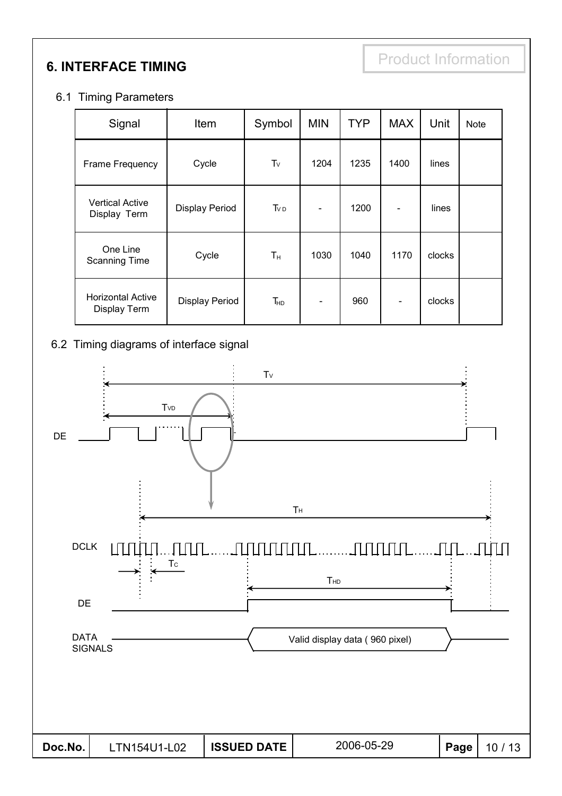**6. INTERFACE TIMING** 

### 6.1 Timing Parameters

| Signal                                   | Item                  | Symbol          | <b>MIN</b> | <b>TYP</b> | <b>MAX</b> | Unit   | <b>Note</b> |
|------------------------------------------|-----------------------|-----------------|------------|------------|------------|--------|-------------|
| Frame Frequency                          | Cycle                 | $T_V$           | 1204       | 1235       | 1400       | lines  |             |
| <b>Vertical Active</b><br>Display Term   | <b>Display Period</b> | TvD             |            | 1200       |            | lines  |             |
| One Line<br><b>Scanning Time</b>         | Cycle                 | Tн              | 1030       | 1040       | 1170       | clocks |             |
| <b>Horizontal Active</b><br>Display Term | <b>Display Period</b> | T <sub>HD</sub> |            | 960        |            | clocks |             |

### 6.2 Timing diagrams of interface signal

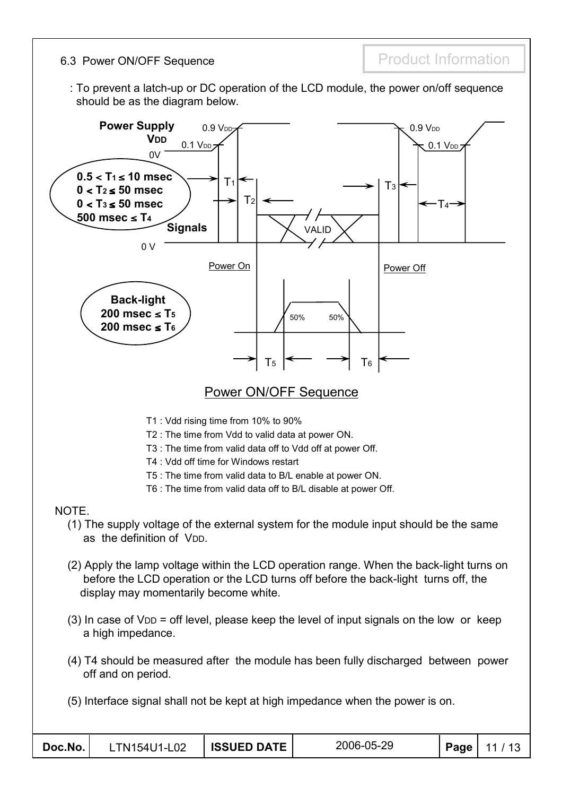6.3 Power ON/OFF Sequence **Product Information** 

: To prevent a latch-up or DC operation of the LCD module, the power on/off sequence should be as the diagram below.

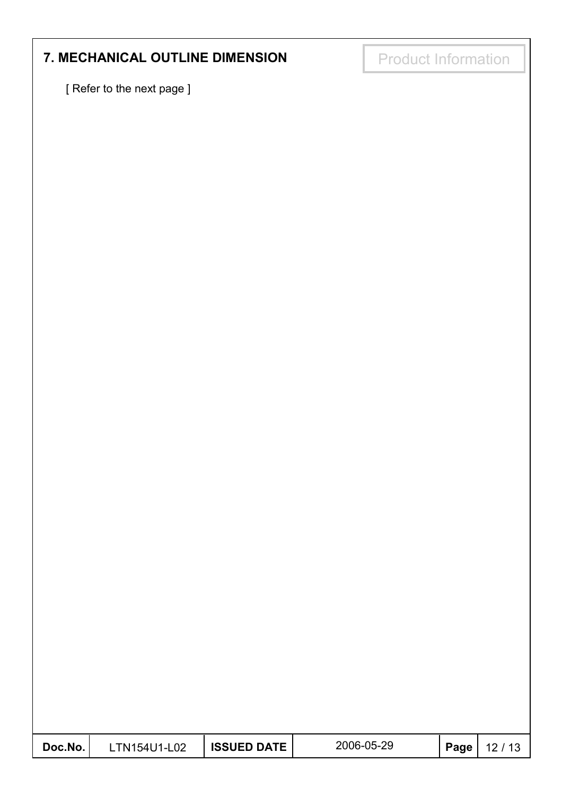# **7. MECHANICAL OUTLINE DIMENSION Froduct Information**

[ Refer to the next page ]

| Doc.No. | TN154U1-L02 | <b>ISSUED DATE</b> | 2006-05-29 | Page $ $ | 12/1 |
|---------|-------------|--------------------|------------|----------|------|
|         |             |                    |            |          |      |